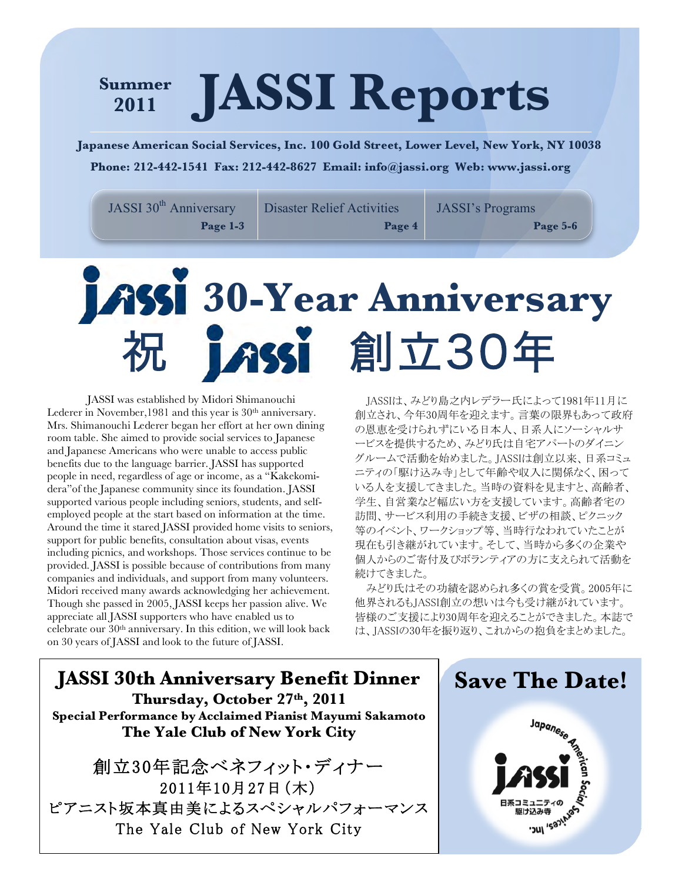# **JASSI Reports Summer 2011**

**Japanese American Social Services, Inc. 100 Gold Street, Lower Level, New York, NY 10038 Phone: 212-442-1541 Fax: 212-442-8627 Email: info@jassi.org Web: www.jassi.org**

JASSI 30<sup>th</sup> Anniversary **Page 1-3**

Disaster Relief Activities

**Page 4**

JASSI's Programs **Page 5-6**

# **30-Year Anniversary** 祝 創立30年

JASSI was established by Midori Shimanouchi Lederer in November, 1981 and this year is 30<sup>th</sup> anniversary. Mrs. Shimanouchi Lederer began her effort at her own dining room table. She aimed to provide social services to Japanese and Japanese Americans who were unable to access public benefits due to the language barrier. JASSI has supported people in need, regardless of age or income, as a "Kakekomidera"of the Japanese community since its foundation. JASSI supported various people including seniors, students, and selfemployed people at the start based on information at the time. Around the time it stared JASSI provided home visits to seniors, support for public benefits, consultation about visas, events including picnics, and workshops. Those services continue to be provided. JASSI is possible because of contributions from many companies and individuals, and support from many volunteers. Midori received many awards acknowledging her achievement. Though she passed in 2005, JASSI keeps her passion alive. We appreciate all JASSI supporters who have enabled us to celebrate our  $30<sup>th</sup>$  anniversary. In this edition, we will look back on 30 years of JASSI and look to the future of JASSI.

JASSIは、みどり島之内レデラー氏によって1981年11月に 創立され、今年30周年を迎えます。言葉の限界もあって政府 の恩恵を受けられずにいる日本人、日系人にソーシャルサ ービスを提供するため、みどり氏は自宅アパートのダイニン グルームで活動を始めました。JASSIは創立以来、日系コミュ ニティの「駆け込み寺」として年齢や収入に関係なく、困って いる人を支援してきました。当時の資料を見ますと、高齢者、 学生、自営業など幅広い方を支援しています。高齢者宅の 訪問、サービス利用の手続き支援、ビザの相談、ピクニック 等のイベント、ワークショップ等、当時行なわれていたことが 現在も引き継がれています。そして、当時から多くの企業や 個人からのご寄付及びボランティアの方に支えられて活動を 続けてきました。

みどり氏はその功績を認められ多くの賞を受賞。2005年に 他界されるもJASSI創立の想いは今も受け継がれています。 皆様のご支援により30周年を迎えることができました。本誌で は、JASSIの30年を振り返り、これからの抱負をまとめました。

**JASSI 30th Anniversary Benefit Dinner Thursday, October 27th, 2011 Special Performance by Acclaimed Pianist Mayumi Sakamoto The Yale Club of New York City**

創立30年記念ベネフィット・ディナー 2011年10月27日(木) ピアニスト坂本真由美によるスペシャルパフォーマンス The Yale Club of New York City

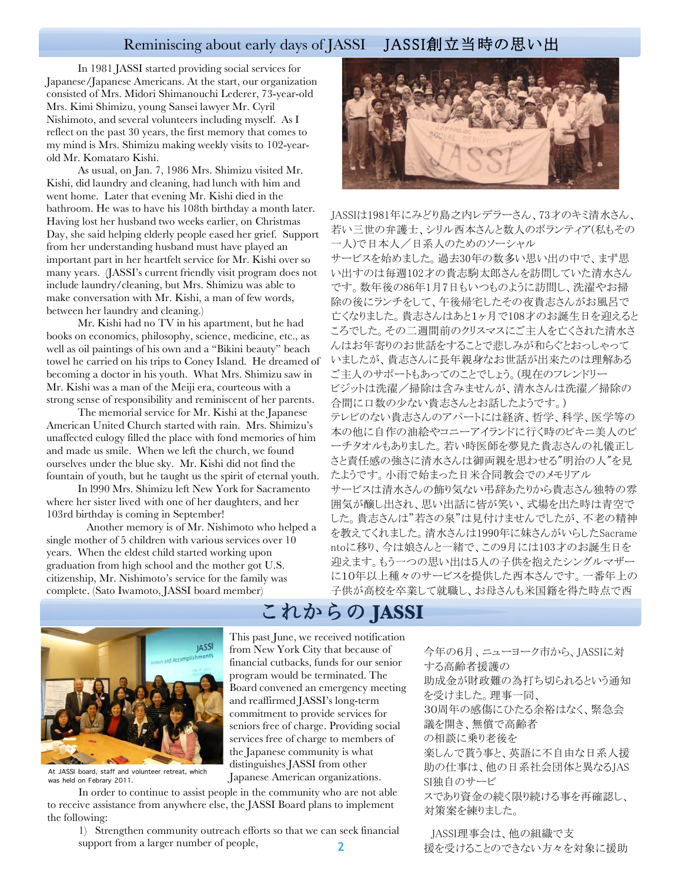## Reminiscing about early days of JASSI JASSI創立当時の思い出

In 1981 JASSI started providing social services for Japanese/Japanese Americans. At the start, our organization consisted of Mrs. Midori Shimanouchi Lederer, 73-year-old Mrs. Kimi Shimizu, young Sansei lawyer Mr. Cyril Nishimoto, and several volunteers including myself. As I reflect on the past 30 years, the first memory that comes to my mind is Mrs. Shimizu making weekly visits to 102-yearold Mr. Komataro Kishi.

As usual, on Jan. 7, 1986 Mrs. Shimizu visited Mr. Kishi, did laundry and cleaning, had lunch with him and went home. Later that evening Mr. Kishi died in the bathroom. He was to have his 108th birthday a month later. Having lost her husband two weeks earlier, on Christmas Day, she said helping elderly people eased her grief. Support from her understanding husband must have played an important part in her heartfelt service for Mr. Kishi over so many years. (JASSI's current friendly visit program does not include laundry/cleaning, but Mrs. Shimizu was able to make conversation with Mr. Kishi, a man of few words, between her laundry and cleaning.)

Mr. Kishi had no TV in his apartment, but he had books on economics, philosophy, science, medicine, etc., as well as oil paintings of his own and a "Bikini beauty" beach towel he carried on his trips to Coney Island. He dreamed of becoming a doctor in his youth. What Mrs. Shimizu saw in Mr. Kishi was a man of the Meiji era, courteous with a strong sense of responsibility and reminiscent of her parents.

The memorial service for Mr. Kishi at the Japanese American United Church started with rain. Mrs. Shimizu's unaffected eulogy filled the place with fond memories of him and made us smile. When we left the church, we found ourselves under the blue sky. Mr. Kishi did not find the fountain of youth, but he taught us the spirit of eternal youth.

In l990 Mrs. Shimizu left New York for Sacramento where her sister lived with one of her daughters, and her 103rd birthday is coming in September!

Another memory is of Mr. Nishimoto who helped a single mother of 5 children with various services over 10 years. When the eldest child started working upon graduation from high school and the mother got U.S. citizenship, Mr. Nishimoto's service for the family was complete. (Sato Iwamoto, JASSI board member)



JASSIは1981年にみどり島之内レデラーさん、73才のキミ清水さん、 若い三世の弁護士、シリル西本さんと数人のボランティア(私もその 一人)で日本人/日系人のためのソーシャル サービスを始めました。過去30年の数多い思い出の中で、まず思 い出すのは毎週102才の貴志駒太郎さんを訪問していた清水さん です。数年後の86年1月7日もいつものように訪問し、洗濯やお掃 除の後にランチをして、午後帰宅したその夜貴志さんがお風呂で 亡くなりました。貴志さんはあと1ヶ月で108才のお誕生日を迎えると ころでした。その二週間前のクリスマスにご主人を亡くされた清水さ んはお年寄りのお世話をすることで悲しみが和らぐとおっしゃって いましたが、貴志さんに長年親身なお世話が出来たのは理解ある ご主人のサポートもあってのことでしょう。(現在のフレンドリー ビジットは洗濯/掃除は含みませんが、清水さんは洗濯/掃除の 合間に口数の少ない貴志さんとお話したようです。) テレビのない貴志さんのアパートには経済、哲学、科学、医学等の 本の他に自作の油絵やコニーアイランドに行く時のビキニ美人のビ ーチタオルもありました。若い時医師を夢見た貴志さんの礼儀正し さと責任感の強さに清水さんは御両親を思わせる"明治の人"を見 たようです。小雨で始まった日米合同教会でのメモリアル サービスは清水さんの飾り気ない弔辞あたりから貴志さん独特の雰 囲気が醸し出され、思い出話に皆が笑い、式場を出た時は青空で した。貴志さんは"若さの泉"は見付けませんでしたが、不老の精神 を教えてくれました。清水さんは1990年に妹さんがいらしたSacrame ntoに移り、今は娘さんと一緒で、この9月には103才のお誕生日を 迎えます。もう一つの思い出は5人の子供を抱えたシングルマザー に10年以上種々のサービスを提供した西本さんです。一番年上の 子供が高校を卒業して就職し、お母さんも米国籍を得た時点で西



At JASSI board, staff and volunteer retreat, which was held on Febrary 2011.

In order to continue to assist people in the community who are not able to receive assistance from anywhere else, the JASSI Board plans to implement the following:

**2** 1) Strengthen community outreach efforts so that we can seek financial support from a larger number of people,

# これからの **JASSI**

This past June, we received notification from New York City that because of financial cutbacks, funds for our senior program would be terminated. The Board convened an emergency meeting and reaffirmed JASSI's long-term commitment to provide services for seniors free of charge. Providing social services free of charge to members of the Japanese community is what distinguishes JASSI from other Japanese American organizations.

今年の6月、ニューヨーク市から、JASSIに対 する高齢者援護の 助成金が財政難の為打ち切られるという通知 を受けました。理事一同、 30周年の感傷にひたる余裕はなく、緊急会 議を開き、無償で高齢者 の相談に乗り老後を 楽しんで貰う事と、英語に不自由な日系人援 助の仕事は、他の日系社会団体と異なるJAS SI独自のサービ スであり資金の続く限り続ける事を再確認し、 対策案を練りました。 JASSI理事会は、他の組織で支

援を受けることのできない方々を対象に援助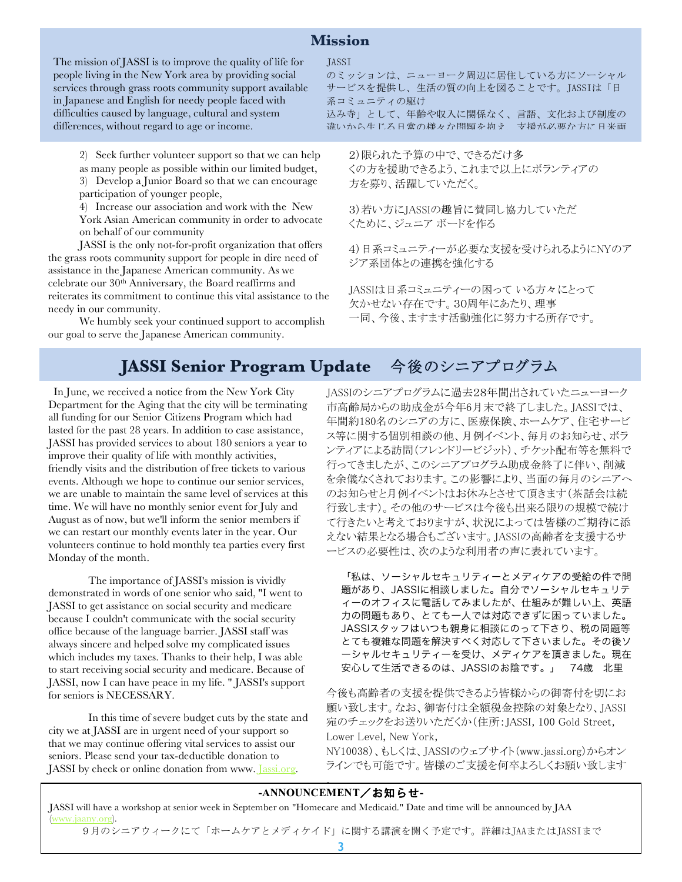#### **Mission**

The mission of JASSI is to improve the quality of life for people living in the New York area by providing social services through grass roots community support available in Japanese and English for needy people faced with difficulties caused by language, cultural and system differences, without regard to age or income.

> 2) Seek further volunteer support so that we can help as many people as possible within our limited budget, 3) Develop a Junior Board so that we can encourage participation of younger people,

4) Increase our association and work with the New York Asian American community in order to advocate on behalf of our community

JASSI is the only not-for-profit organization that offers the grass roots community support for people in dire need of assistance in the Japanese American community. As we celebrate our 30th Anniversary, the Board reaffirms and reiterates its commitment to continue this vital assistance to the needy in our community.

We humbly seek your continued support to accomplish our goal to serve the Japanese American community.

#### JASSI

のミッションは、ニューヨーク周辺に居住している方にソーシャル サービスを提供し、生活の質の向上を図ることです。JASSIは「日 系コミュニティの駆け 込み寺」として、年齢や収入に関係なく、言語、文化および制度の

違いから生じる日常の様々な問題を抱え、支援が必要な方に日米両 言語でサービスを提供します。

2)限られた予算の中で、できるだけ多 くの方を援助できるよう、これまで以上にボランティアの 方を募り、活躍していただく。

3)若い方にJASSIの趣旨に賛同し協力していただ くために、ジュニア ボードを作る

4)日系コミュニティーが必要な支援を受けられるようにNYのア ジア系団体との連携を強化する

JASSIは日系コミュニティーの困って いる方々にとって 欠かせない存在です。30周年にあたり、理事 一同、今後、ますます活動強化に努力する所存です。

ちょうしょう これがい これがい

# **JASSI Senior Program Update** 今後のシニアプログラム

 In June, we received a notice from the New York City Department for the Aging that the city will be terminating all funding for our Senior Citizens Program which had lasted for the past 28 years. In addition to case assistance, JASSI has provided services to about 180 seniors a year to improve their quality of life with monthly activities, friendly visits and the distribution of free tickets to various events. Although we hope to continue our senior services, we are unable to maintain the same level of services at this time. We will have no monthly senior event for July and August as of now, but we'll inform the senior members if we can restart our monthly events later in the year. Our volunteers continue to hold monthly tea parties every first Monday of the month.

The importance of JASSI's mission is vividly demonstrated in words of one senior who said, "I went to JASSI to get assistance on social security and medicare because I couldn't communicate with the social security office because of the language barrier. JASSI staff was always sincere and helped solve my complicated issues which includes my taxes. Thanks to their help, I was able to start receiving social security and medicare. Because of JASSI, now I can have peace in my life. " JASSI's support for seniors is NECESSARY.

In this time of severe budget cuts by the state and city we at JASSI are in urgent need of your support so that we may continue offering vital services to assist our seniors. Please send your tax-deductible donation to JASSI by check or online donation from www. Jassi.org.

JASSIのシニアプログラムに過去28年間出されていたニューヨーク 市高齢局からの助成金が今年6月末で終了しました。JASSIでは、 年間約180名のシニアの方に、医療保険、ホームケア、住宅サービ ス等に関する個別相談の他、月例イベント、毎月のお知らせ、ボラ ンティアによる訪問(フレンドリービジット)、チケット配布等を無料で 行ってきましたが、このシニアプログラム助成金終了に伴い、削減 を余儀なくされております。この影響により、当面の毎月のシニアへ のお知らせと月例イベントはお休みとさせて頂きます(茶話会は続 行致します)。その他のサービスは今後も出来る限りの規模で続け て行きたいと考えておりますが、状況によっては皆様のご期待に添 えない結果となる場合もございます。JASSIの高齢者を支援するサ ービスの必要性は、次のような利用者の声に表れています。

「私は、ソーシャルセキュリティーとメディケアの受給の件で問 題があり、JASSIに相談しました。自分でソーシャルセキュリテ ィーのオフィスに電話してみましたが、仕組みが難しい上、英語 力の問題もあり、とても一人では対応できずに困っていました。 JASSIスタッフはいつも親身に相談にのって下さり、税の問題等 とても複雑な問題を解決すべく対応して下さいました。その後ソ ーシャルセキュリティーを受け、メディケアを頂きました。現在 安心して生活できるのは、JASSIのお陰です。」 74歳 北里

今後も高齢者の支援を提供できるよう皆様からの御寄付を切にお 願い致します。なお、御寄付は全額税金控除の対象となり、JASSI 宛のチェックをお送りいただくか(住所:JASSI, 100 Gold Street, Lower Level, New York,

NY10038)、もしくは、JASSIのウェブサイト(www.jassi.org)からオン ラインでも可能です。皆様のご支援を何卒よろしくお願い致します

#### **-ANNOUNCEMENT**/お知らせ**-**

。

JASSI will have a workshop at senior week in September on "Homecare and Medicaid." Date and time will be announced by JAA (www.jaany.org).

9月のシニアウィークにて「ホームケアとメディケイド」に関する講演を開く予定です。詳細はJAAまたはJASSIまで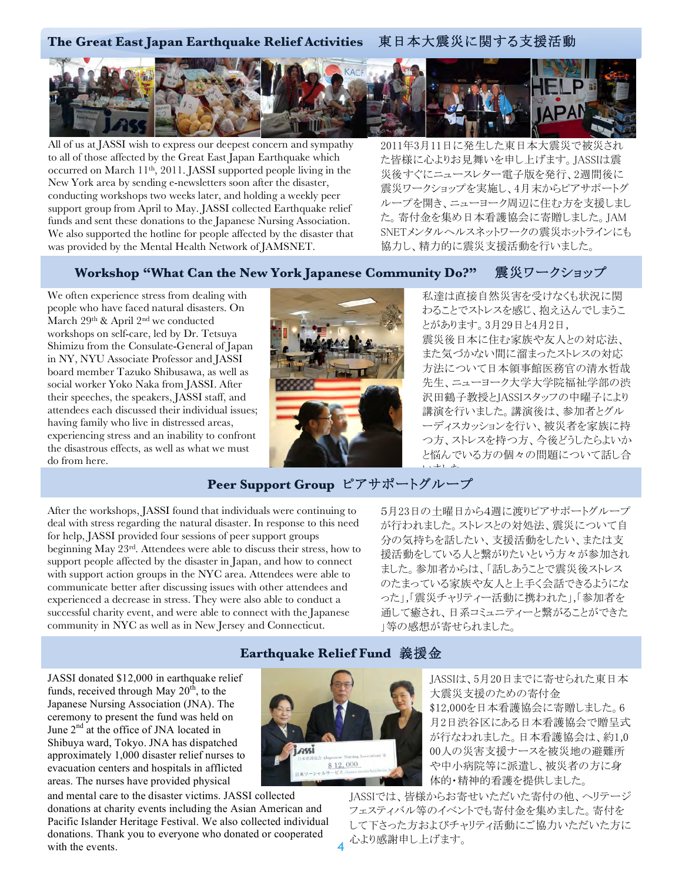

All of us at JASSI wish to express our deepest concern and sympathy to all of those affected by the Great East Japan Earthquake which occurred on March 11th, 2011. JASSI supported people living in the New York area by sending e-newsletters soon after the disaster, conducting workshops two weeks later, and holding a weekly peer support group from April to May. JASSI collected Earthquake relief funds and sent these donations to the Japanese Nursing Association. We also supported the hotline for people affected by the disaster that was provided by the Mental Health Network of JAMSNET.

2011年3月11日に発生した東日本大震災で被災され た皆様に心よりお見舞いを申し上げます。JASSIは震 災後すぐにニュースレター電子版を発行、2週間後に 震災ワークショップを実施し、4月末からピアサポートグ ループを開き、ニューヨーク周辺に住む方を支援しまし た。寄付金を集め日本看護協会に寄贈しました。JAM SNETメンタルヘルスネットワークの震災ホットラインにも 協力し、精力的に震災支援活動を行いました。

#### **Workshop "What Can the New York Japanese Community Do?"** 震災ワークショップ

We often experience stress from dealing with people who have faced natural disasters. On March 29<sup>th</sup> & April 2<sup>nd</sup> we conducted workshops on self-care, led by Dr. Tetsuya Shimizu from the Consulate-General of Japan in NY, NYU Associate Professor and JASSI board member Tazuko Shibusawa, as well as social worker Yoko Naka from JASSI. After their speeches, the speakers, JASSI staff, and attendees each discussed their individual issues; having family who live in distressed areas, experiencing stress and an inability to confront the disastrous effects, as well as what we must do from here.



私達は直接自然災害を受けなくも状況に関 わることでストレスを感じ、抱え込んでしまうこ とがあります。3月29日と4月2日, 震災後日本に住む家族や友人との対応法、 また気づかない間に溜まったストレスの対応 方法について日本領事館医務官の清水哲哉 先生、ニューヨーク大学大学院福祉学部の渋 沢田鶴子教授とJASSIスタッフの中曜子により 講演を行いました。講演後は、参加者とグル ーディスカッションを行い、被災者を家族に持 つ方、ストレスを持つ方、今後どうしたらよいか と悩んでいる方の個々の問題について話し合 いよしょ

# **Peer Support Group** ピアサポートグループ

After the workshops, JASSI found that individuals were continuing to deal with stress regarding the natural disaster. In response to this need for help, JASSI provided four sessions of peer support groups beginning May 23rd. Attendees were able to discuss their stress, how to support people affected by the disaster in Japan, and how to connect with support action groups in the NYC area. Attendees were able to communicate better after discussing issues with other attendees and experienced a decrease in stress. They were also able to conduct a successful charity event, and were able to connect with the Japanese community in NYC as well as in New Jersey and Connecticut.

5月23日の土曜日から4週に渡りピアサポートグループ が行われました。ストレスとの対処法、震災について自 分の気持ちを話したい、支援活動をしたい、または支 援活動をしている人と繋がりたいという方々が参加され ました。参加者からは、「話しあうことで震災後ストレス のたまっている家族や友人と上手く会話できるようにな った」,「震災チャリティー活動に携われた」,「参加者を 通して癒され、日系コミュニティーと繋がることができた 」等の感想が寄せられました。

JASSI donated \$12,000 in earthquake relief funds, received through May  $20<sup>th</sup>$ , to the Japanese Nursing Association (JNA). The ceremony to present the fund was held on June  $2<sup>nd</sup>$  at the office of JNA located in Shibuya ward, Tokyo. JNA has dispatched approximately 1,000 disaster relief nurses to evacuation centers and hospitals in afflicted areas. The nurses have provided physical

and mental care to the disaster victims. JASSI collected donations at charity events including the Asian American and Pacific Islander Heritage Festival. We also collected individual donations. Thank you to everyone who donated or cooperated with the events.



JASSIは、5月20日までに寄せられた東日本 大震災支援のための寄付金 \$12,000を日本看護協会に寄贈しました。6 月2日渋谷区にある日本看護協会で贈呈式 が行なわれました。日本看護協会は、約1,0 00人の災害支援ナースを被災地の避難所 や中小病院等に派遣し、被災者の方に身 体的・精神的看護を提供しました。

JASSIでは、皆様からお寄せいただいた寄付の他、ヘリテージ フェスティバル等のイベントでも寄付金を集めました。寄付を して下さった方およびチャリティ活動にご協力いただいた方に 心より感謝申し上げます。

# **Earthquake Relief Fund** 義援金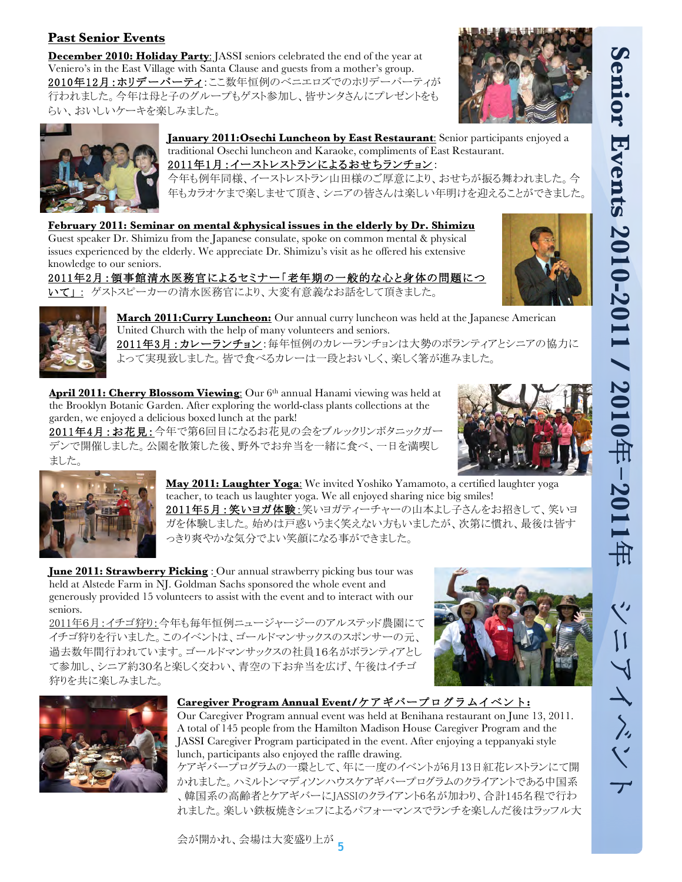### **Past Senior Events**

**December 2010: Holiday Party**: JASSI seniors celebrated the end of the year at Veniero's in the East Village with Santa Clause and guests from a mother's group. 2010年12月:ホリデーパーティ:ここ数年恒例のベニエロズでのホリデーパーティが 行われました。今年は母と子のグループもゲスト参加し、皆サンタさんにプレゼントをも らい、おいしいケーキを楽しみました。





**January 2011:Osechi Luncheon by East Restaurant**: Senior participants enjoyed a traditional Osechi luncheon and Karaoke, compliments of East Restaurant.

# 2011年1月:イーストレストランによるおせちランチョン:

今年も例年同様、イーストレストラン山田様のご厚意により、おせちが振る舞われました。今 年もカラオケまで楽しませて頂き、シニアの皆さんは楽しい年明けを迎えることができました。

**February 2011: Seminar on mental &physical issues in the elderly by Dr. Shimizu** Guest speaker Dr. Shimizu from the Japanese consulate, spoke on common mental & physical issues experienced by the elderly. We appreciate Dr. Shimizu's visit as he offered his extensive knowledge to our seniors.

# 2011年2月:領事館清水医務官によるセミナー「老年期の一般的な心と身体の問題につ

いて」: ゲストスピーカーの清水医務官により、大変有意義なお話をして頂きました。





**March 2011:Curry Luncheon:** Our annual curry luncheon was held at the Japanese American United Church with the help of many volunteers and seniors.

<mark>2011年3月:カレーランチョン</mark>:毎年恒例のカレーランチョンは大勢のボランティアとシニアの協力に て実現致しました。皆で食べるカレーは一段とおいしく、楽しく箸が進みました。

**Cherry Blossom Viewing:** Our 6<sup>th</sup> annual Hanami viewing was held at the Brooklyn Botanic Garden. After exploring the world-class plants collections at the garden, we enjoyed a delicious boxed lunch at the park!

2011年4月:お花見:今年で第6回目になるお花見の会をブルックリンボタニックガー デンで開催しました。公園を散策した後、野外でお弁当を一緒に食べ、一日を満喫し ました。





**May 2011: Laughter Yoga**: We invited Yoshiko Yamamoto, a certified laughter yoga teacher, to teach us laughter yoga. We all enjoyed sharing nice big smiles! 2011年5月:笑いヨガ体験:笑いヨガティーチャーの山本よし子さんをお招きして、笑いヨ ガを体験しました。始めは戸惑いうまく笑えない方もいましたが、次第に慣れ、最後は皆す っきり爽やかな気分でよい笑顔になる事ができました。

**June 2011: Strawberry Picking** : Our annual strawberry picking bus tour was held at Alstede Farm in NJ. Goldman Sachs sponsored the whole event and generously provided 15 volunteers to assist with the event and to interact with our seniors.

2011年6月:イチゴ狩り:今年も毎年恒例ニュージャージーのアルステッド農園にて イチゴ狩りを行いました。このイベントは、ゴールドマンサックスのスポンサーの元、 過去数年間行われています。ゴールドマンサックスの社員16名がボランティアとし て参加し、シニア約30名と楽しく交わい、青空の下お弁当を広げ、午後はイチゴ 狩りを共に楽しみました。





#### **Caregiver Program Annual Event/**ケアギバープログラムイベント**:**

Our Caregiver Program annual event was held at Benihana restaurant on June 13, 2011. A total of 145 people from the Hamilton Madison House Caregiver Program and the JASSI Caregiver Program participated in the event. After enjoying a teppanyaki style lunch, participants also enjoyed the raffle drawing.

ケアギバープログラムの一環として、年に一度のイベントが6月13日紅花レストランにて開 かれました。ハミルトンマディソンハウスケアギバープログラムのクライアントである中国系 、韓国系の高齢者とケアギバーにJASSIのクライアント6名が加わり、合計145名程で行わ れました。楽しい鉄板焼きシェフによるパフォーマンスでランチを楽しんだ後はラッフル大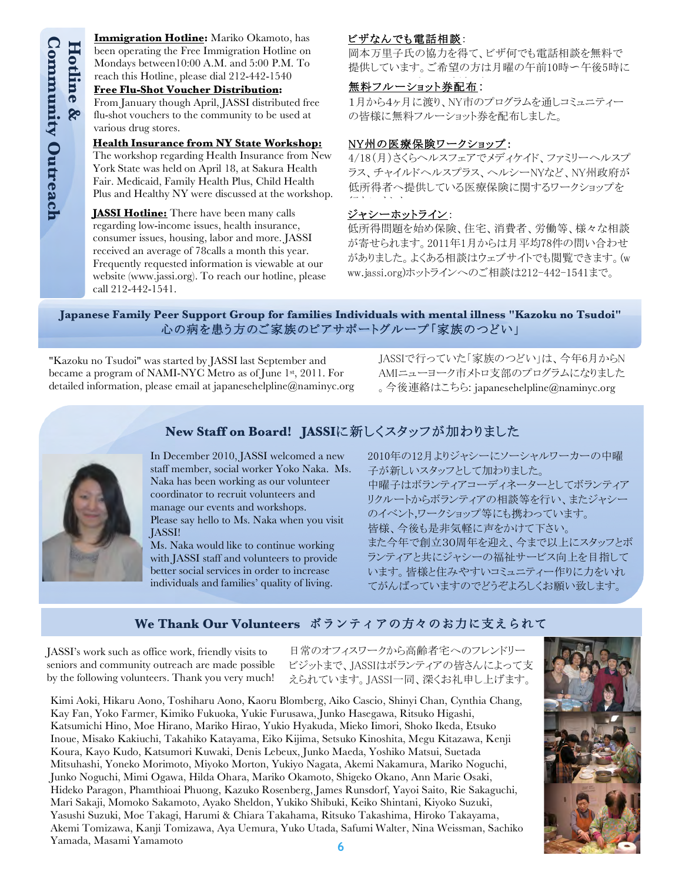**Immigration Hotline:** Mariko Okamoto, has been operating the Free Immigration Hotline on Mondays between10:00 A.M. and 5:00 P.M. To reach this Hotline, please dial 212-442-1540

#### **Free Flu-Shot Voucher Distribution:**

From January though April, JASSI distributed free flu-shot vouchers to the community to be used at various drug stores.

#### **Health Insurance from NY State Workshop:**

The workshop regarding Health Insurance from New York State was held on April 18, at Sakura Health Fair. Medicaid, Family Health Plus, Child Health Plus and Healthy NY were discussed at the workshop.

**JASSI Hotline:** There have been many calls regarding low-income issues, health insurance, consumer issues, housing, labor and more. JASSI received an average of 78calls a month this year. Frequently requested information is viewable at our website (www.jassi.org). To reach our hotline, please call 212-442-1541.

#### ビザなんでも電話相談:

岡本万里子氏の協力を得て、ビザ何でも電話相談を無料で 提供しています。ご希望の方は月曜の午前10時~午後5時に

# **無料フルーショット券配布:**

1月から4ヶ月に渡り、NY市のプログラムを通しコミュニティー の皆様に無料フルーショット券を配布しました。

#### NY州の医療保険ワークショップ:

4/18(月)さくらヘルスフェアでメディケイド、ファミリーヘルスプ ラス、チャイルドヘルスプラス、ヘルシーNYなど、NY州政府が 低所得者へ提供している医療保険に関するワークショップを 2000年 - 10月 - 10月 - 10月 - 10月 - 10月 - 10月 - 10月 - 10月 - 10月 - 10月 - 10月 - 10月 - 10月 - 10月 - 10月 - 10月 - 10月 - <br>第2章

#### ジャシーホットライン:

低所得問題を始め保険、住宅、消費者、労働等、様々な相談 が寄せられます。2011年1月からは月平均78件の問い合わせ がありました。よくある相談はウェブサイトでも閲覧できます。(w ww.jassi.org)ホットラインへのご相談は212-442-1541まで。

#### **Japanese Family Peer Support Group for families Individuals with mental illness "Kazoku no Tsudoi"** 心の病を患う方のご家族のピアサポートグループ「家族のつどい」

"Kazoku no Tsudoi" was started by JASSI last September and became a program of NAMI-NYC Metro as of June 1st, 2011. For detailed information, please email at japanesehelpline@naminyc.org

> In December 2010, JASSI welcomed a new staff member, social worker Yoko Naka. Ms. Naka has been working as our volunteer coordinator to recruit volunteers and manage our events and workshops.

Please say hello to Ms. Naka when you visit

Ms. Naka would like to continue working with JASSI staff and volunteers to provide better social services in order to increase individuals and families' quality of living.

JASSIで行っていた「家族のつどい」は、今年6月からN AMIニューヨーク市メトロ支部のプログラムになりました 。今後連絡はこちら: japanesehelpline@naminyc.org



**New Staff on Board! JASSIに新しくスタッフが加わりました** 

2010年の12月よりジャシーにソーシャルワーカーの中曜 子が新しいスタッフとして加わりました。 中曜子はボランティアコーディネーターとしてボランティア リクルートからボランティアの相談等を行い、またジャシー のイベント,ワークショップ等にも携わっています。 皆様、今後も是非気軽に声をかけて下さい。 また今年で創立30周年を迎え、今まで以上にスタッフとボ ランティアと共にジャシーの福祉サービス向上を目指して います。皆様と住みやすいコミュニティー作りに力をいれ てがんばっていますのでどうぞよろしくお願い致します。

#### **We Thank Our Volunteers** ボランティアの方々のお力に支えられて

JASSI's work such as office work, friendly visits to seniors and community outreach are made possible by the following volunteers. Thank you very much!

JASSI!

日常のオフィスワークから高齢者宅へのフレンドリー ビジットまで、JASSIはボランティアの皆さんによって支 えられています。JASSI一同、深くお礼申し上げます。

**Example 12 Sect All the Mass All the Scheme Scheme (Fig. 2011)**<br> **Example 18 Mondays between 11**<br> **Example Mondays between 11**<br> **From January thought The Fig. Fig. 12 Mondays of The workshop regar<br>
The workshop regar York** Kimi Aoki, Hikaru Aono, Toshiharu Aono, Kaoru Blomberg, Aiko Cascio, Shinyi Chan, Cynthia Chang, Kay Fan, Yoko Farmer, Kimiko Fukuoka, Yukie Furusawa, Junko Hasegawa, Ritsuko Higashi, Katsumichi Hino, Moe Hirano, Mariko Hirao, Yukio Hyakuda, Mieko Iimori, Shoko Ikeda, Etsuko Inoue, Misako Kakiuchi, Takahiko Katayama, Eiko Kijima, Setsuko Kinoshita, Megu Kitazawa, Kenji Koura, Kayo Kudo, Katsumori Kuwaki, Denis Lebeux, Junko Maeda, Yoshiko Matsui, Suetada Mitsuhashi, Yoneko Morimoto, Miyoko Morton, Yukiyo Nagata, Akemi Nakamura, Mariko Noguchi, Junko Noguchi, Mimi Ogawa, Hilda Ohara, Mariko Okamoto, Shigeko Okano, Ann Marie Osaki, Hideko Paragon, Phamthioai Phuong, Kazuko Rosenberg, James Runsdorf, Yayoi Saito, Rie Sakaguchi, Mari Sakaji, Momoko Sakamoto, Ayako Sheldon, Yukiko Shibuki, Keiko Shintani, Kiyoko Suzuki, Yasushi Suzuki, Moe Takagi, Harumi & Chiara Takahama, Ritsuko Takashima, Hiroko Takayama, Akemi Tomizawa, Kanji Tomizawa, Aya Uemura, Yuko Utada, Safumi Walter, Nina Weissman, Sachiko Yamada, Masami Yamamoto

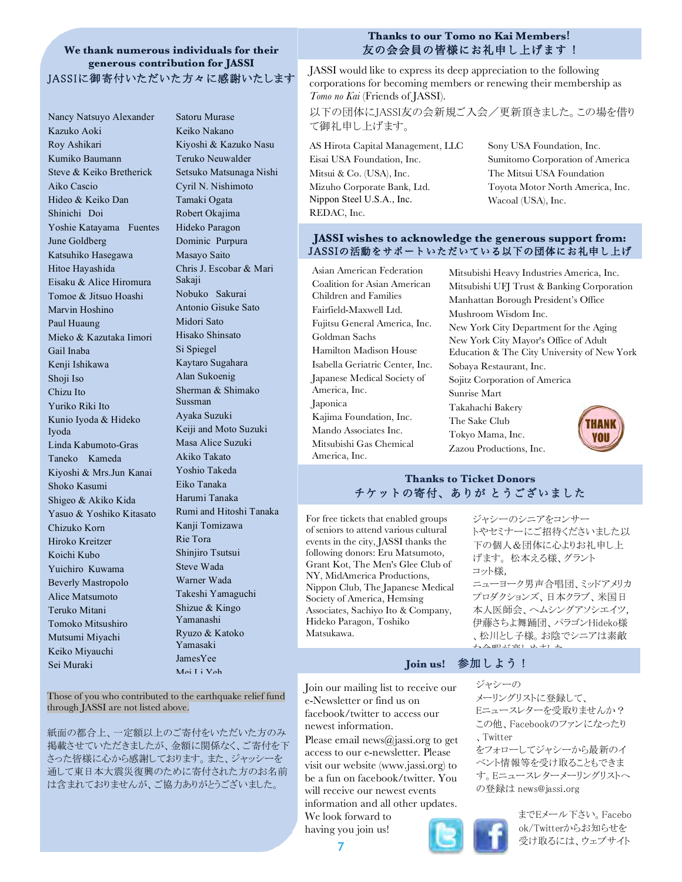# **We thank numerous individuals for their generous contribution for JASSI**

Nancy Natsuyo Alexander Kazuko Aoki Roy Ashikari Kumiko Baumann Steve & Keiko Bretherick Aiko Cascio Hideo & Keiko Dan Shinichi Doi Yoshie Katayama Fuentes June Goldberg Katsuhiko Hasegawa Hitoe Hayashida Eisaku & Alice Hiromura Tomoe & Jitsuo Hoashi Marvin Hoshino Paul Huaung Mieko & Kazutaka Iimori Gail Inaba Kenji Ishikawa Shoji Iso Chizu Ito Yuriko Riki Ito Kunio Iyoda & Hideko Iyoda Linda Kabumoto-Gras Taneko Kameda Kiyoshi & Mrs.Jun Kanai Shoko Kasumi Shigeo & Akiko Kida Yasuo & Yoshiko Kitasato Chizuko Korn Hiroko Kreitzer Koichi Kubo Yuichiro Kuwama Beverly Mastropolo Alice Matsumoto Teruko Mitani Tomoko Mitsushiro Mutsumi Miyachi Keiko Miyauchi Sei Muraki

Satoru Murase Keiko Nakano Kiyoshi & Kazuko Nasu Teruko Neuwalder Setsuko Matsunaga Nishi Cyril N. Nishimoto Tamaki Ogata Robert Okajima Hideko Paragon Dominic Purpura Masayo Saito Chris J. Escobar & Mari Sakaji Nobuko Sakurai Antonio Gisuke Sato Midori Sato Hisako Shinsato Si Spiegel Kaytaro Sugahara Alan Sukoenig Sherman & Shimako Sussman Ayaka Suzuki Keiji and Moto Suzuki Masa Alice Suzuki Akiko Takato Yoshio Takeda Eiko Tanaka Harumi Tanaka Rumi and Hitoshi Tanaka Kanji Tomizawa Rie Tora Shinjiro Tsutsui Steve Wada Warner Wada Takeshi Yamaguchi Shizue & Kingo Yamanashi Ryuzo & Katoko Yamasaki JamesYee Mei Li Yeh

#### **Thanks to our Tomo no Kai Members**! 友の会会員の皆様にお礼申し上げます !

JASSIに御寄付いただいた方々に感謝いたします JASSI would like to express its deep appreciation to the following corporations for becoming members or renewing their membership as *Tomo no Kai* (Friends of JASSI).

> 以下の団体にJASSI友の会新規ご入会/更新頂きました。この場を借り て御礼申し上げます。

AS Hirota Capital Management, LLC Eisai USA Foundation, Inc. Mitsui & Co. (USA), Inc. Mizuho Corporate Bank, Ltd. Nippon Steel U.S.A., Inc. REDAC, Inc.

Sony USA Foundation, Inc. Sumitomo Corporation of America The Mitsui USA Foundation Toyota Motor North America, Inc. Wacoal (USA), Inc.

#### **JASSI wishes to acknowledge the generous support from:** JASSIの活動をサポートいただいている以下の団体にお礼申し上げ

Asian American Federation Coalition for Asian American Children and Families Fairfield-Maxwell Ltd. Fujitsu General America, Inc. Goldman Sachs Hamilton Madison House Isabella Geriatric Center, Inc. Japanese Medical Society of America, Inc. Japonica Kajima Foundation, Inc. Mando Associates Inc. Mitsubishi Gas Chemical America, Inc.

.<br>Mitsubishi Heavy Industries America, Inc. Mitsubishi UFJ Trust & Banking Corporation Manhattan Borough President's Office Mushroom Wisdom Inc. New York City Department for the Aging New York City Mayor's Office of Adult Education & The City University of New York Sobaya Restaurant, Inc. Sojitz Corporation of America Sunrise Mart Takahachi Bakery The Sake Club Tokyo Mama, Inc. vou Zazou Productions, Inc.

#### **Thanks to Ticket Donors** チケットの寄付、ありが とうございました

For free tickets that enabled groups of seniors to attend various cultural events in the city, JASSI thanks the following donors: Eru Matsumoto, Grant Kot, The Men's Glee Club of NY, MidAmerica Productions, Nippon Club, The Japanese Medical Society of America, Hemsing Associates, Sachiyo Ito & Company, Hideko Paragon, Toshiko Matsukawa.

#### ジャシーのシニアをコンサー トやセミナーにご招待くださいました以 下の個人&団体に心よりお礼申し上 げます。 松本える様、グラント コット様,

ニューヨーク男声合唱団、ミッドアメリカ プロダクションズ、日本クラブ、米国日 本人医師会、ヘムシングアソシエイツ, 伊藤さちよ舞踊団、パラゴンHideko様 、松川とし子様。お陰でシニアは素敵 ストロール エイディング

をフォローしてジャシーから最新のイ ベント情報等を受け取ることもできま す。Eニュースレターメーリングリストへ

#### **Join us!** 参加しよう!

ジャシーの

、Twitter

メーリングリストに登録して、 Eニュースレターを受取りませんか? この他、Facebookのファンになったり

の登録は news@jassi.org

Join our mailing list to receive our e-Newsletter or find us on facebook/twitter to access our newest information.

> Please email news@jassi.org to get access to our e-newsletter. Please visit our website (www.jassi.org) to be a fun on facebook/twitter. You will receive our newest events information and all other updates.

We look forward to having you join us!



までEメール下さい。Facebo ok/Twitterからお知らせを 受け取るには、ウェブサイト

Those of you who contributed to the earthquake relief fund through JASSI are not listed above.

紙面の都合上、一定額以上のご寄付をいただいた方のみ 掲載させていただきましたが、金額に関係なく、ご寄付を下 さった皆様に心から感謝しております。また、ジャッシーを 通して東日本大震災復興のために寄付された方のお名前 は含まれておりませんが、ご協力ありがとうございました。

**7**